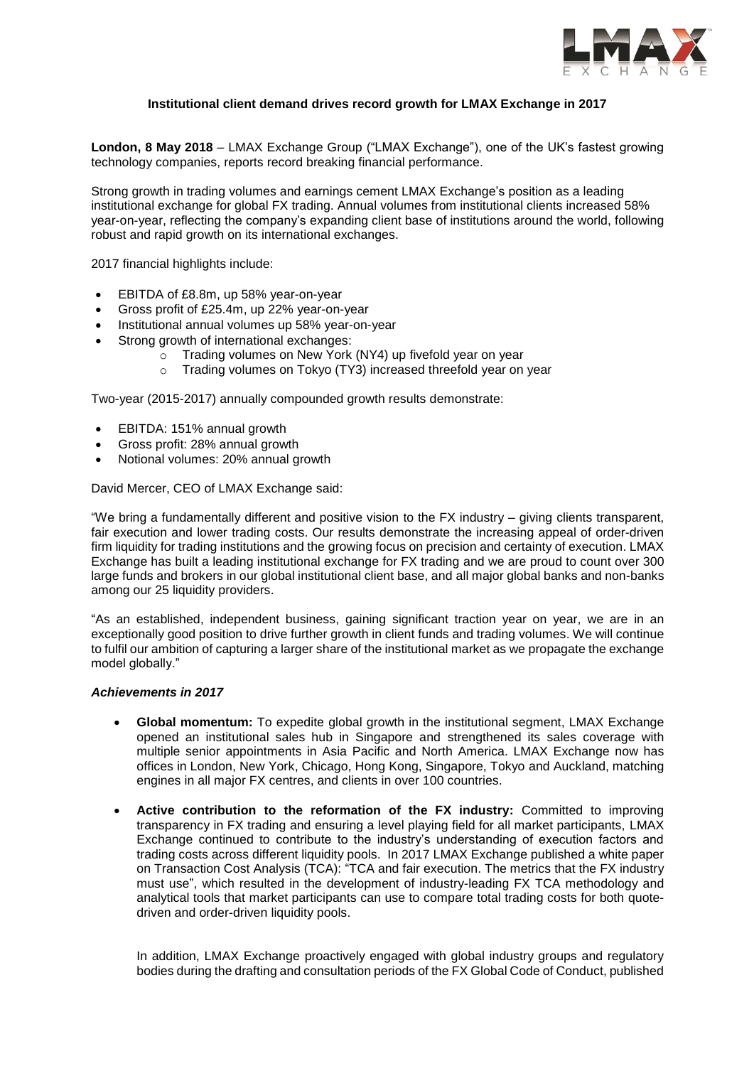

# **Institutional client demand drives record growth for LMAX Exchange in 2017**

**London, 8 May 2018** – LMAX Exchange Group ("LMAX Exchange"), one of the UK's fastest growing technology companies, reports record breaking financial performance.

Strong growth in trading volumes and earnings cement LMAX Exchange's position as a leading institutional exchange for global FX trading. Annual volumes from institutional clients increased 58% year-on-year, reflecting the company's expanding client base of institutions around the world, following robust and rapid growth on its international exchanges.

2017 financial highlights include:

- EBITDA of £8.8m, up 58% year-on-year
- Gross profit of £25.4m, up 22% year-on-year
- Institutional annual volumes up 58% year-on-year
- Strong growth of international exchanges:
	- $\circ$  Trading volumes on New York (NY4) up fivefold vear on year
	- o Trading volumes on Tokyo (TY3) increased threefold year on year

Two-year (2015-2017) annually compounded growth results demonstrate:

- EBITDA: 151% annual growth
- Gross profit: 28% annual growth
- Notional volumes: 20% annual growth

David Mercer, CEO of LMAX Exchange said:

"We bring a fundamentally different and positive vision to the FX industry – giving clients transparent, fair execution and lower trading costs. Our results demonstrate the increasing appeal of order-driven firm liquidity for trading institutions and the growing focus on precision and certainty of execution. LMAX Exchange has built a leading institutional exchange for FX trading and we are proud to count over 300 large funds and brokers in our global institutional client base, and all major global banks and non-banks among our 25 liquidity providers.

"As an established, independent business, gaining significant traction year on year, we are in an exceptionally good position to drive further growth in client funds and trading volumes. We will continue to fulfil our ambition of capturing a larger share of the institutional market as we propagate the exchange model globally."

## *Achievements in 2017*

- **Global momentum:** To expedite global growth in the institutional segment, LMAX Exchange opened an institutional sales hub in Singapore and strengthened its sales coverage with multiple senior appointments in Asia Pacific and North America. LMAX Exchange now has offices in London, New York, Chicago, Hong Kong, Singapore, Tokyo and Auckland, matching engines in all major FX centres, and clients in over 100 countries.
- **Active contribution to the reformation of the FX industry:** Committed to improving transparency in FX trading and ensuring a level playing field for all market participants, LMAX Exchange continued to contribute to the industry's understanding of execution factors and trading costs across different liquidity pools. In 2017 LMAX Exchange published a white paper on Transaction Cost Analysis (TCA): "TCA and fair execution. The metrics that the FX industry must use", which resulted in the development of industry-leading FX TCA methodology and analytical tools that market participants can use to compare total trading costs for both quotedriven and order-driven liquidity pools.

In addition, LMAX Exchange proactively engaged with global industry groups and regulatory bodies during the drafting and consultation periods of the FX Global Code of Conduct, published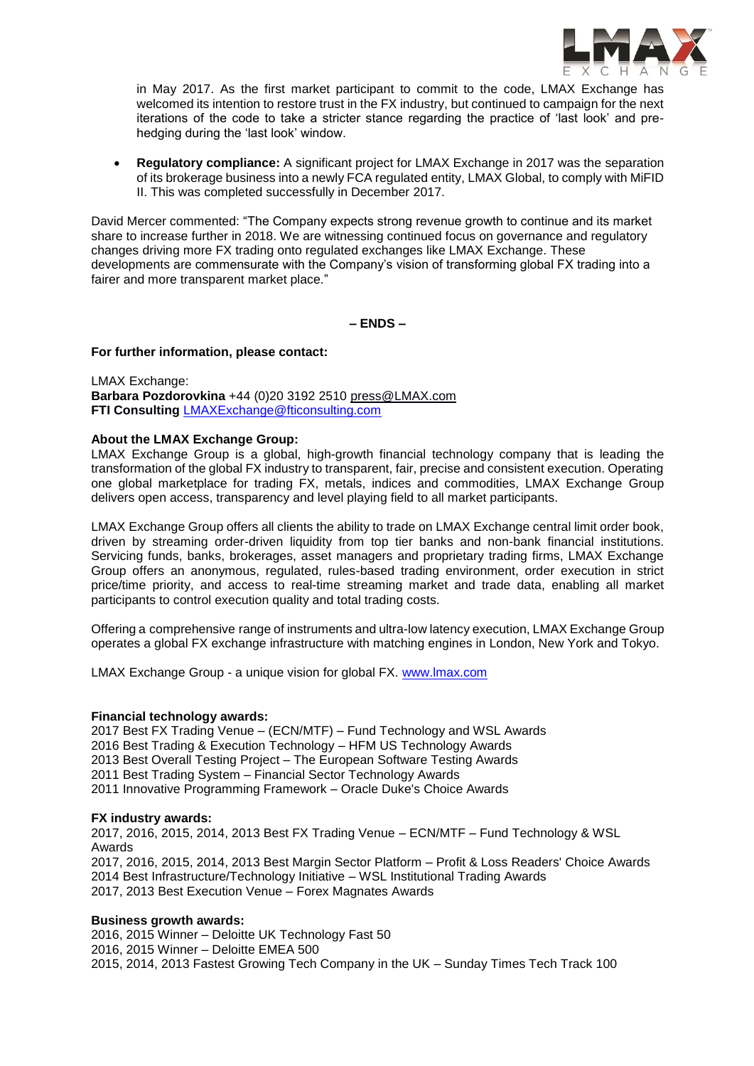

in May 2017. As the first market participant to commit to the code, LMAX Exchange has welcomed its intention to restore trust in the FX industry, but continued to campaign for the next iterations of the code to take a stricter stance regarding the practice of 'last look' and prehedging during the 'last look' window.

• **Requiatory compliance:** A significant project for LMAX Exchange in 2017 was the separation of its brokerage business into a newly FCA regulated entity, LMAX Global, to comply with MiFID II. This was completed successfully in December 2017.

David Mercer commented: "The Company expects strong revenue growth to continue and its market share to increase further in 2018. We are witnessing continued focus on governance and regulatory changes driving more FX trading onto regulated exchanges like LMAX Exchange. These developments are commensurate with the Company's vision of transforming global FX trading into a fairer and more transparent market place."

**– ENDS –**

### **For further information, please contact:**

LMAX Exchange: **Barbara Pozdorovkina** +44 (0)20 3192 2510 [press@LMAX.com](mailto:press@LMAX.com) **FTI Consulting** [LMAXExchange@fticonsulting.com](mailto:LMAXExchange@fticonsulting.com)

## **About the LMAX Exchange Group:**

LMAX Exchange Group is a global, high-growth financial technology company that is leading the transformation of the global FX industry to transparent, fair, precise and consistent execution. Operating one global marketplace for trading FX, metals, indices and commodities, LMAX Exchange Group delivers open access, transparency and level playing field to all market participants.

LMAX Exchange Group offers all clients the ability to trade on LMAX Exchange central limit order book, driven by streaming order-driven liquidity from top tier banks and non-bank financial institutions. Servicing funds, banks, brokerages, asset managers and proprietary trading firms, LMAX Exchange Group offers an anonymous, regulated, rules-based trading environment, order execution in strict price/time priority, and access to real-time streaming market and trade data, enabling all market participants to control execution quality and total trading costs.

Offering a comprehensive range of instruments and ultra-low latency execution, LMAX Exchange Group operates a global FX exchange infrastructure with matching engines in London, New York and Tokyo.

LMAX Exchange Group - a unique vision for global FX. [www.lmax.com](http://www.lmax.com/)

## **Financial technology awards:**

2017 Best FX Trading Venue – (ECN/MTF) – Fund Technology and WSL Awards 2016 Best Trading & Execution Technology – HFM US Technology Awards 2013 Best Overall Testing Project – The European Software Testing Awards 2011 Best Trading System – Financial Sector Technology Awards 2011 Innovative Programming Framework – Oracle Duke's Choice Awards

## **FX industry awards:**

2017, 2016, 2015, 2014, 2013 Best FX Trading Venue – ECN/MTF – Fund Technology & WSL Awards 2017, 2016, 2015, 2014, 2013 Best Margin Sector Platform – Profit & Loss Readers' Choice Awards 2014 Best Infrastructure/Technology Initiative – WSL Institutional Trading Awards 2017, 2013 Best Execution Venue – Forex Magnates Awards

## **Business growth awards:**

2016, 2015 Winner – Deloitte UK Technology Fast 50 2016, 2015 Winner – Deloitte EMEA 500 2015, 2014, 2013 Fastest Growing Tech Company in the UK – Sunday Times Tech Track 100